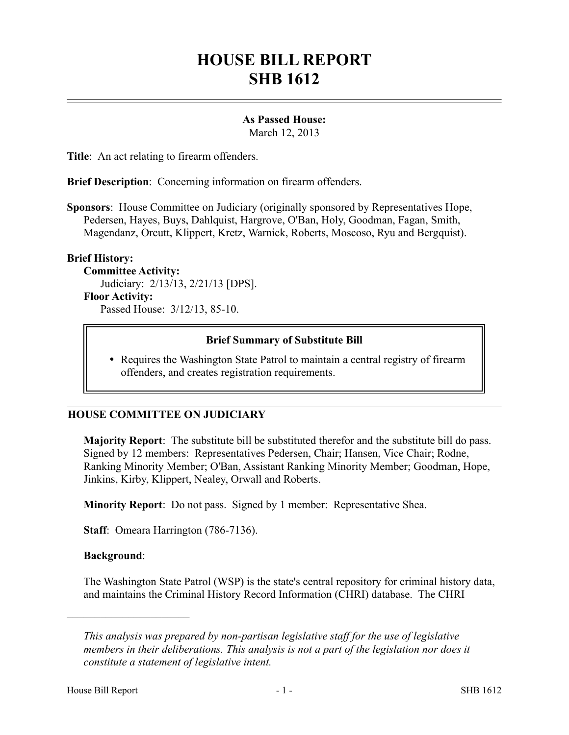# **HOUSE BILL REPORT SHB 1612**

# **As Passed House:**

March 12, 2013

**Title**: An act relating to firearm offenders.

**Brief Description**: Concerning information on firearm offenders.

**Sponsors**: House Committee on Judiciary (originally sponsored by Representatives Hope, Pedersen, Hayes, Buys, Dahlquist, Hargrove, O'Ban, Holy, Goodman, Fagan, Smith, Magendanz, Orcutt, Klippert, Kretz, Warnick, Roberts, Moscoso, Ryu and Bergquist).

# **Brief History:**

**Committee Activity:**

Judiciary: 2/13/13, 2/21/13 [DPS].

# **Floor Activity:**

Passed House: 3/12/13, 85-10.

# **Brief Summary of Substitute Bill**

• Requires the Washington State Patrol to maintain a central registry of firearm offenders, and creates registration requirements.

# **HOUSE COMMITTEE ON JUDICIARY**

**Majority Report**: The substitute bill be substituted therefor and the substitute bill do pass. Signed by 12 members: Representatives Pedersen, Chair; Hansen, Vice Chair; Rodne, Ranking Minority Member; O'Ban, Assistant Ranking Minority Member; Goodman, Hope, Jinkins, Kirby, Klippert, Nealey, Orwall and Roberts.

**Minority Report**: Do not pass. Signed by 1 member: Representative Shea.

**Staff**: Omeara Harrington (786-7136).

#### **Background**:

––––––––––––––––––––––

The Washington State Patrol (WSP) is the state's central repository for criminal history data, and maintains the Criminal History Record Information (CHRI) database. The CHRI

*This analysis was prepared by non-partisan legislative staff for the use of legislative members in their deliberations. This analysis is not a part of the legislation nor does it constitute a statement of legislative intent.*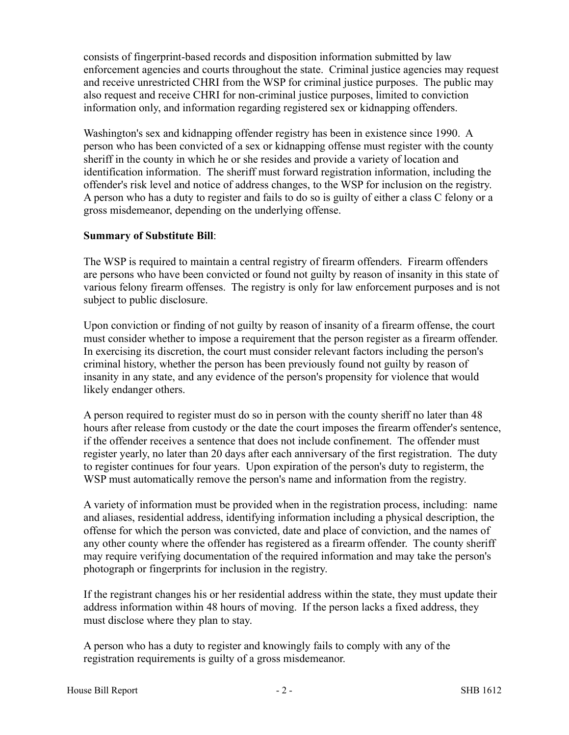consists of fingerprint-based records and disposition information submitted by law enforcement agencies and courts throughout the state. Criminal justice agencies may request and receive unrestricted CHRI from the WSP for criminal justice purposes. The public may also request and receive CHRI for non-criminal justice purposes, limited to conviction information only, and information regarding registered sex or kidnapping offenders.

Washington's sex and kidnapping offender registry has been in existence since 1990. A person who has been convicted of a sex or kidnapping offense must register with the county sheriff in the county in which he or she resides and provide a variety of location and identification information. The sheriff must forward registration information, including the offender's risk level and notice of address changes, to the WSP for inclusion on the registry. A person who has a duty to register and fails to do so is guilty of either a class C felony or a gross misdemeanor, depending on the underlying offense.

# **Summary of Substitute Bill**:

The WSP is required to maintain a central registry of firearm offenders. Firearm offenders are persons who have been convicted or found not guilty by reason of insanity in this state of various felony firearm offenses. The registry is only for law enforcement purposes and is not subject to public disclosure.

Upon conviction or finding of not guilty by reason of insanity of a firearm offense, the court must consider whether to impose a requirement that the person register as a firearm offender. In exercising its discretion, the court must consider relevant factors including the person's criminal history, whether the person has been previously found not guilty by reason of insanity in any state, and any evidence of the person's propensity for violence that would likely endanger others.

A person required to register must do so in person with the county sheriff no later than 48 hours after release from custody or the date the court imposes the firearm offender's sentence, if the offender receives a sentence that does not include confinement. The offender must register yearly, no later than 20 days after each anniversary of the first registration. The duty to register continues for four years. Upon expiration of the person's duty to registerm, the WSP must automatically remove the person's name and information from the registry.

A variety of information must be provided when in the registration process, including: name and aliases, residential address, identifying information including a physical description, the offense for which the person was convicted, date and place of conviction, and the names of any other county where the offender has registered as a firearm offender. The county sheriff may require verifying documentation of the required information and may take the person's photograph or fingerprints for inclusion in the registry.

If the registrant changes his or her residential address within the state, they must update their address information within 48 hours of moving. If the person lacks a fixed address, they must disclose where they plan to stay.

A person who has a duty to register and knowingly fails to comply with any of the registration requirements is guilty of a gross misdemeanor.